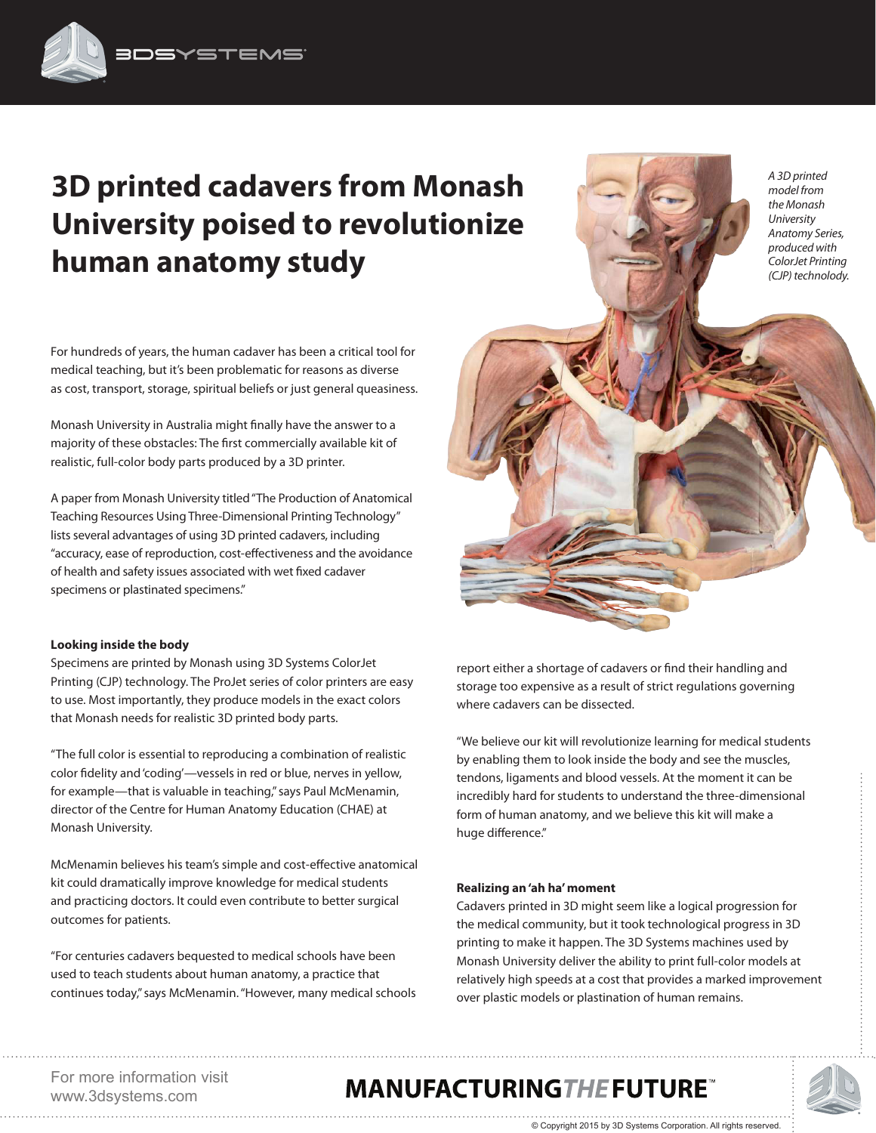# **3D printed cadavers from Monash University poised to revolutionize human anatomy study**

For hundreds of years, the human cadaver has been a critical tool for medical teaching, but it's been problematic for reasons as diverse as cost, transport, storage, spiritual beliefs or just general queasiness.

Monash University in Australia might finally have the answer to a majority of these obstacles: The first commercially available kit of realistic, full-color body parts produced by a 3D printer.

A paper from Monash University titled "The Production of Anatomical Teaching Resources Using Three-Dimensional Printing Technology" lists several advantages of using 3D printed cadavers, including "accuracy, ease of reproduction, cost-effectiveness and the avoidance of health and safety issues associated with wet fixed cadaver specimens or plastinated specimens."

#### **Looking inside the body**

Specimens are printed by Monash using 3D Systems ColorJet Printing (CJP) technology. The ProJet series of color printers are easy to use. Most importantly, they produce models in the exact colors that Monash needs for realistic 3D printed body parts.

"The full color is essential to reproducing a combination of realistic color fidelity and 'coding'—vessels in red or blue, nerves in yellow, for example—that is valuable in teaching," says Paul McMenamin, director of the Centre for Human Anatomy Education (CHAE) at Monash University.

McMenamin believes his team's simple and cost-effective anatomical kit could dramatically improve knowledge for medical students and practicing doctors. It could even contribute to better surgical outcomes for patients.

"For centuries cadavers bequested to medical schools have been used to teach students about human anatomy, a practice that continues today," says McMenamin. "However, many medical schools

report either a shortage of cadavers or find their handling and storage too expensive as a result of strict regulations governing where cadavers can be dissected.

"We believe our kit will revolutionize learning for medical students by enabling them to look inside the body and see the muscles, tendons, ligaments and blood vessels. At the moment it can be incredibly hard for students to understand the three-dimensional form of human anatomy, and we believe this kit will make a huge difference."

#### **Realizing an 'ah ha' moment**

Cadavers printed in 3D might seem like a logical progression for the medical community, but it took technological progress in 3D printing to make it happen. The 3D Systems machines used by Monash University deliver the ability to print full-color models at relatively high speeds at a cost that provides a marked improvement over plastic models or plastination of human remains.

For more information visit www.3dsystems.com

## **MANUFACTURING THE FUTURE**



*A 3D printed model from the Monash University Anatomy Series, produced with ColorJet Printing (CJP) technolody.*

© Copyright 2015 by 3D Systems Corporation. All rights reserved.